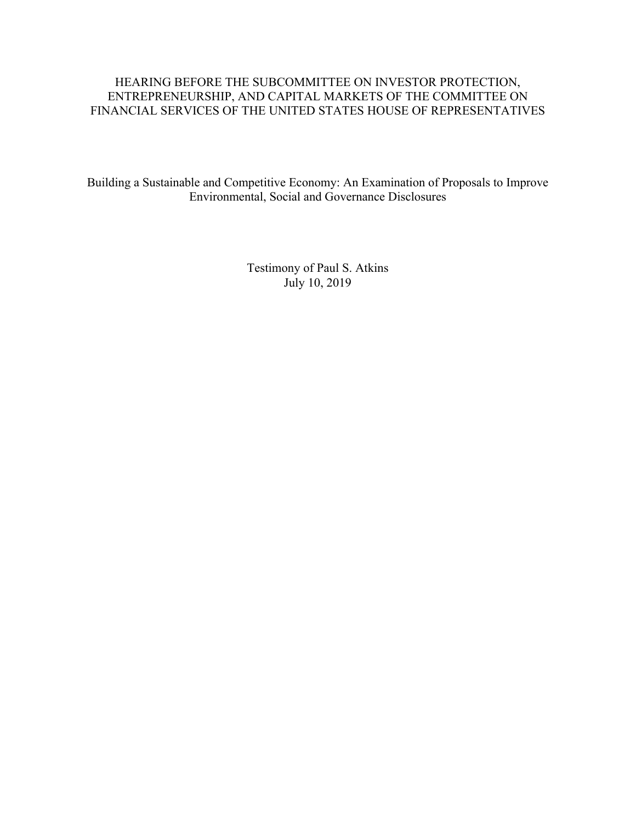# HEARING BEFORE THE SUBCOMMITTEE ON INVESTOR PROTECTION, ENTREPRENEURSHIP, AND CAPITAL MARKETS OF THE COMMITTEE ON FINANCIAL SERVICES OF THE UNITED STATES HOUSE OF REPRESENTATIVES

Building a Sustainable and Competitive Economy: An Examination of Proposals to Improve Environmental, Social and Governance Disclosures

> Testimony of Paul S. Atkins July 10, 2019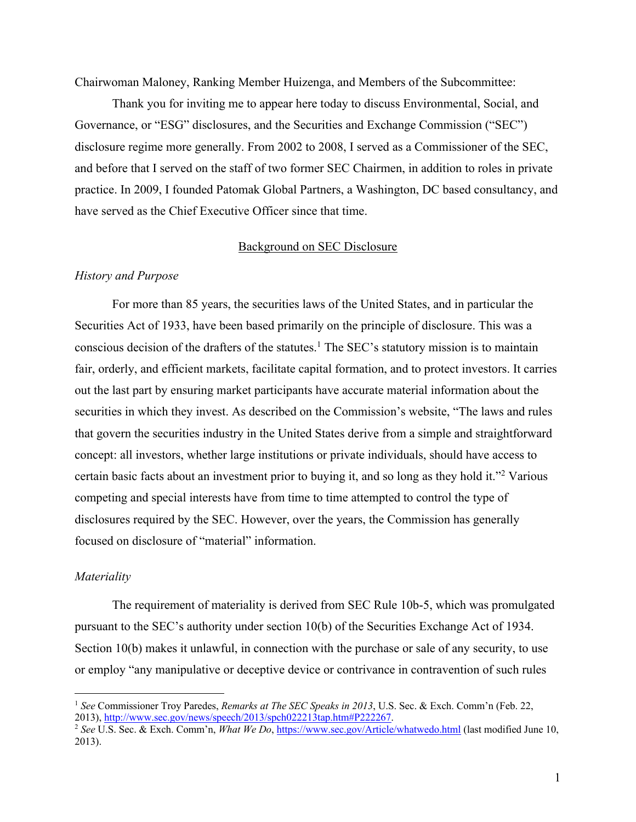Chairwoman Maloney, Ranking Member Huizenga, and Members of the Subcommittee:

Thank you for inviting me to appear here today to discuss Environmental, Social, and Governance, or "ESG" disclosures, and the Securities and Exchange Commission ("SEC") disclosure regime more generally. From 2002 to 2008, I served as a Commissioner of the SEC, and before that I served on the staff of two former SEC Chairmen, in addition to roles in private practice. In 2009, I founded Patomak Global Partners, a Washington, DC based consultancy, and have served as the Chief Executive Officer since that time.

#### Background on SEC Disclosure

#### *History and Purpose*

For more than 85 years, the securities laws of the United States, and in particular the Securities Act of 1933, have been based primarily on the principle of disclosure. This was a conscious decision of the drafters of the statutes.1 The SEC's statutory mission is to maintain fair, orderly, and efficient markets, facilitate capital formation, and to protect investors. It carries out the last part by ensuring market participants have accurate material information about the securities in which they invest. As described on the Commission's website, "The laws and rules that govern the securities industry in the United States derive from a simple and straightforward concept: all investors, whether large institutions or private individuals, should have access to certain basic facts about an investment prior to buying it, and so long as they hold it."2 Various competing and special interests have from time to time attempted to control the type of disclosures required by the SEC. However, over the years, the Commission has generally focused on disclosure of "material" information.

### *Materiality*

The requirement of materiality is derived from SEC Rule 10b-5, which was promulgated pursuant to the SEC's authority under section 10(b) of the Securities Exchange Act of 1934. Section 10(b) makes it unlawful, in connection with the purchase or sale of any security, to use or employ "any manipulative or deceptive device or contrivance in contravention of such rules

 <sup>1</sup> *See* Commissioner Troy Paredes, *Remarks at The SEC Speaks in 2013*, U.S. Sec. & Exch. Comm'n (Feb. 22, 2013), http://www.sec.gov/news/speech/2013/spch022213tap.htm#P222267.

<sup>2</sup> *See* U.S. Sec. & Exch. Comm'n, *What We Do*, https://www.sec.gov/Article/whatwedo.html (last modified June 10, 2013).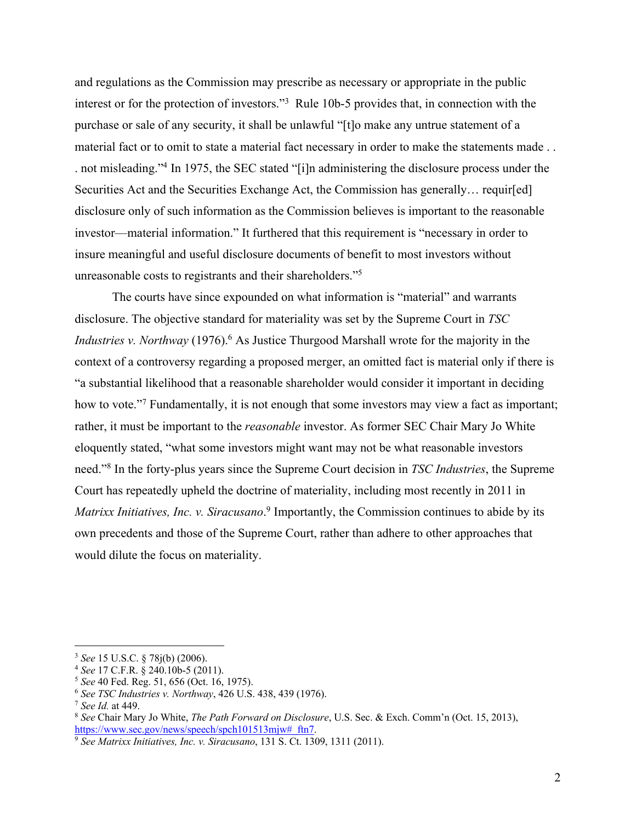and regulations as the Commission may prescribe as necessary or appropriate in the public interest or for the protection of investors."3 Rule 10b-5 provides that, in connection with the purchase or sale of any security, it shall be unlawful "[t]o make any untrue statement of a material fact or to omit to state a material fact necessary in order to make the statements made . . . not misleading."4 In 1975, the SEC stated "[i]n administering the disclosure process under the Securities Act and the Securities Exchange Act, the Commission has generally... requir[ed] disclosure only of such information as the Commission believes is important to the reasonable investor—material information." It furthered that this requirement is "necessary in order to insure meaningful and useful disclosure documents of benefit to most investors without unreasonable costs to registrants and their shareholders."5

The courts have since expounded on what information is "material" and warrants disclosure. The objective standard for materiality was set by the Supreme Court in *TSC Industries v. Northway* (1976).<sup>6</sup> As Justice Thurgood Marshall wrote for the majority in the context of a controversy regarding a proposed merger, an omitted fact is material only if there is "a substantial likelihood that a reasonable shareholder would consider it important in deciding how to vote."<sup>7</sup> Fundamentally, it is not enough that some investors may view a fact as important; rather, it must be important to the *reasonable* investor. As former SEC Chair Mary Jo White eloquently stated, "what some investors might want may not be what reasonable investors need."8 In the forty-plus years since the Supreme Court decision in *TSC Industries*, the Supreme Court has repeatedly upheld the doctrine of materiality, including most recently in 2011 in *Matrixx Initiatives, Inc. v. Siracusano*. <sup>9</sup> Importantly, the Commission continues to abide by its own precedents and those of the Supreme Court, rather than adhere to other approaches that would dilute the focus on materiality.

 <sup>3</sup> *See* 15 U.S.C. § 78j(b) (2006).

<sup>4</sup> *See* 17 C.F.R. § 240.10b-5 (2011).

<sup>5</sup> *See* 40 Fed. Reg. 51, 656 (Oct. 16, 1975).

<sup>6</sup> *See TSC Industries v. Northway*, 426 U.S. 438, 439 (1976).

<sup>&</sup>lt;sup>8</sup> See Chair Mary Jo White, *The Path Forward on Disclosure*, U.S. Sec. & Exch. Comm'n (Oct. 15, 2013), https://www.sec.gov/news/speech/spch101513mjw#\_ftn7.

<sup>9</sup> *See Matrixx Initiatives, Inc. v. Siracusano*, 131 S. Ct. 1309, 1311 (2011).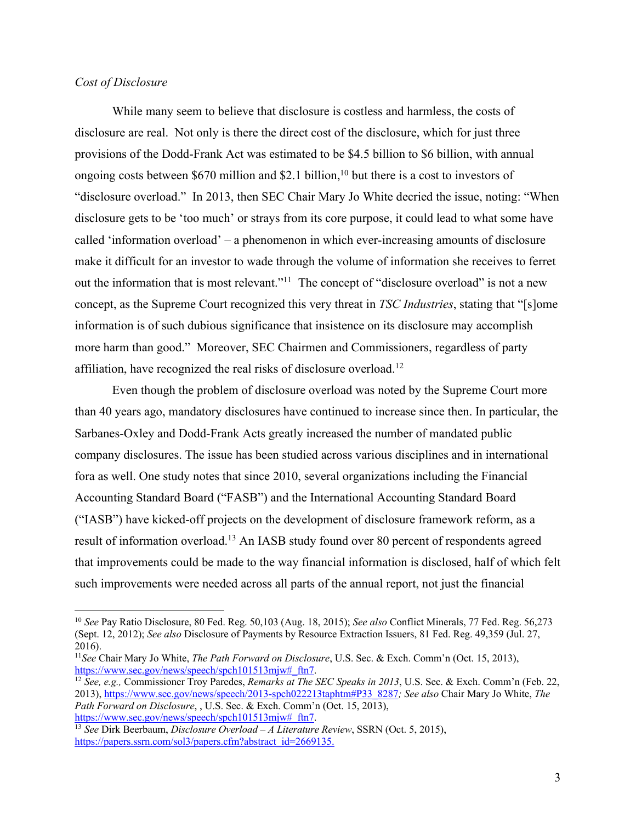# *Cost of Disclosure*

While many seem to believe that disclosure is costless and harmless, the costs of disclosure are real. Not only is there the direct cost of the disclosure, which for just three provisions of the Dodd-Frank Act was estimated to be \$4.5 billion to \$6 billion, with annual ongoing costs between \$670 million and \$2.1 billion, <sup>10</sup> but there is a cost to investors of "disclosure overload." In 2013, then SEC Chair Mary Jo White decried the issue, noting: "When disclosure gets to be 'too much' or strays from its core purpose, it could lead to what some have called 'information overload' – a phenomenon in which ever-increasing amounts of disclosure make it difficult for an investor to wade through the volume of information she receives to ferret out the information that is most relevant."<sup>11</sup> The concept of "disclosure overload" is not a new concept, as the Supreme Court recognized this very threat in *TSC Industries*, stating that "[s]ome information is of such dubious significance that insistence on its disclosure may accomplish more harm than good." Moreover, SEC Chairmen and Commissioners, regardless of party affiliation, have recognized the real risks of disclosure overload.12

Even though the problem of disclosure overload was noted by the Supreme Court more than 40 years ago, mandatory disclosures have continued to increase since then. In particular, the Sarbanes-Oxley and Dodd-Frank Acts greatly increased the number of mandated public company disclosures. The issue has been studied across various disciplines and in international fora as well. One study notes that since 2010, several organizations including the Financial Accounting Standard Board ("FASB") and the International Accounting Standard Board ("IASB") have kicked-off projects on the development of disclosure framework reform, as a result of information overload.13 An IASB study found over 80 percent of respondents agreed that improvements could be made to the way financial information is disclosed, half of which felt such improvements were needed across all parts of the annual report, not just the financial

 <sup>10</sup> *See* Pay Ratio Disclosure, 80 Fed. Reg. 50,103 (Aug. 18, 2015); *See also* Conflict Minerals, 77 Fed. Reg. 56,273 (Sept. 12, 2012); *See also* Disclosure of Payments by Resource Extraction Issuers, 81 Fed. Reg. 49,359 (Jul. 27, 2016).

<sup>11</sup>*See* Chair Mary Jo White, *The Path Forward on Disclosure*, U.S. Sec. & Exch. Comm'n (Oct. 15, 2013), https://www.sec.gov/news/speech/spch101513mjw#\_ftn7.

<sup>12</sup> *See, e.g.,* Commissioner Troy Paredes, *Remarks at The SEC Speaks in 2013*, U.S. Sec. & Exch. Comm'n (Feb. 22, 2013), https://www.sec.gov/news/speech/2013-spch022213taphtm#P33\_8287*; See also* Chair Mary Jo White, *The Path Forward on Disclosure*, , U.S. Sec. & Exch. Comm'n (Oct. 15, 2013), https://www.sec.gov/news/speech/spch101513mjw#\_ftn7.

<sup>13</sup> *See* Dirk Beerbaum, *Disclosure Overload – A Literature Review*, SSRN (Oct. 5, 2015), https://papers.ssrn.com/sol3/papers.cfm?abstract\_id=2669135.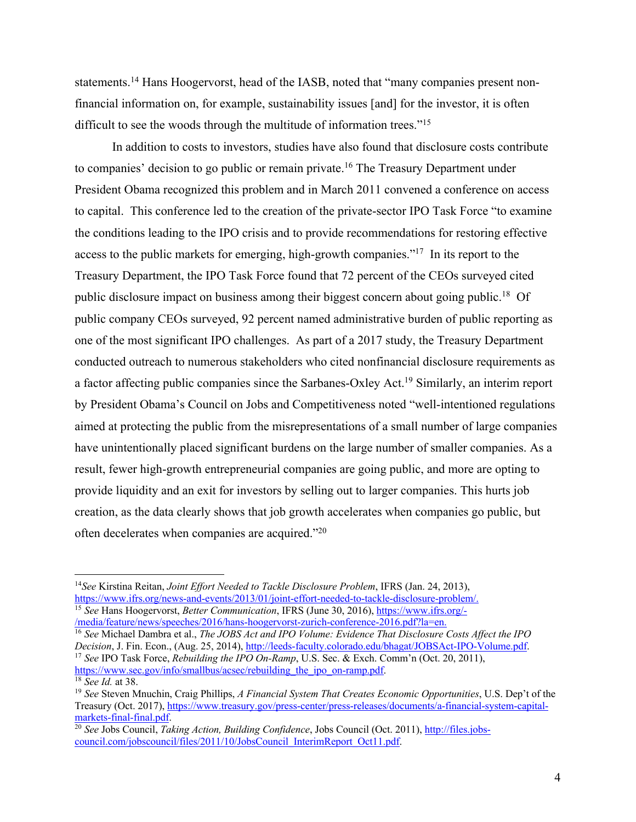statements.<sup>14</sup> Hans Hoogervorst, head of the IASB, noted that "many companies present nonfinancial information on, for example, sustainability issues [and] for the investor, it is often difficult to see the woods through the multitude of information trees."15

In addition to costs to investors, studies have also found that disclosure costs contribute to companies' decision to go public or remain private.<sup>16</sup> The Treasury Department under President Obama recognized this problem and in March 2011 convened a conference on access to capital. This conference led to the creation of the private-sector IPO Task Force "to examine the conditions leading to the IPO crisis and to provide recommendations for restoring effective access to the public markets for emerging, high-growth companies."17 In its report to the Treasury Department, the IPO Task Force found that 72 percent of the CEOs surveyed cited public disclosure impact on business among their biggest concern about going public.18 Of public company CEOs surveyed, 92 percent named administrative burden of public reporting as one of the most significant IPO challenges. As part of a 2017 study, the Treasury Department conducted outreach to numerous stakeholders who cited nonfinancial disclosure requirements as a factor affecting public companies since the Sarbanes-Oxley Act.<sup>19</sup> Similarly, an interim report by President Obama's Council on Jobs and Competitiveness noted "well-intentioned regulations aimed at protecting the public from the misrepresentations of a small number of large companies have unintentionally placed significant burdens on the large number of smaller companies. As a result, fewer high-growth entrepreneurial companies are going public, and more are opting to provide liquidity and an exit for investors by selling out to larger companies. This hurts job creation, as the data clearly shows that job growth accelerates when companies go public, but often decelerates when companies are acquired."20

/media/feature/news/speeches/2016/hans-hoogervorst-zurich-conference-2016.pdf?la=en.

<sup>16</sup> *See* Michael Dambra et al., *The JOBS Act and IPO Volume: Evidence That Disclosure Costs Affect the IPO Decision*, J. Fin. Econ., (Aug. 25, 2014), http://leeds-faculty.colorado.edu/bhagat/JOBSAct-IPO-Volume.pdf. <sup>17</sup> *See* IPO Task Force, *Rebuilding the IPO On-Ramp*, U.S. Sec. & Exch. Comm'n (Oct. 20, 2011), https://www.sec.gov/info/smallbus/acsec/rebuilding\_the\_ipo\_on-ramp.pdf.<br><sup>18</sup> See Id. at 38.

 <sup>14</sup>*See* Kirstina Reitan, *Joint Effort Needed to Tackle Disclosure Problem*, IFRS (Jan. 24, 2013), https://www.ifrs.org/news-and-events/2013/01/joint-effort-needed-to-tackle-disclosure-problem/. <sup>15</sup> *See* Hans Hoogervorst, *Better Communication*, IFRS (June 30, 2016), https://www.ifrs.org/-

<sup>&</sup>lt;sup>19</sup> See Steven Mnuchin, Craig Phillips, *A Financial System That Creates Economic Opportunities*, U.S. Dep't of the Treasury (Oct. 2017), https://www.treasury.gov/press-center/press-releases/documents/a-financial-system-capitalmarkets-final-final.pdf.

<sup>&</sup>lt;sup>20</sup> See Jobs Council, *Taking Action, Building Confidence*, Jobs Council (Oct. 2011), http://files.jobscouncil.com/jobscouncil/files/2011/10/JobsCouncil\_InterimReport\_Oct11.pdf.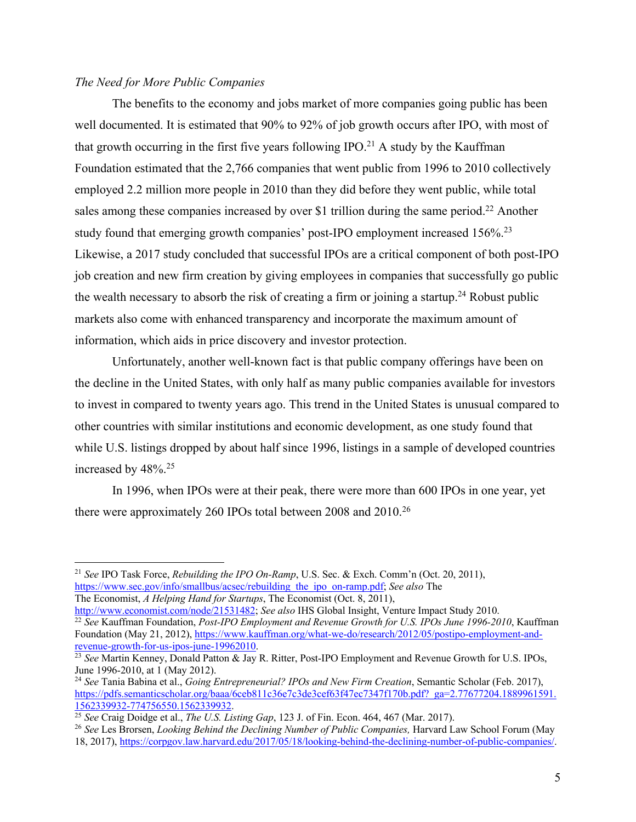# *The Need for More Public Companies*

The benefits to the economy and jobs market of more companies going public has been well documented. It is estimated that 90% to 92% of job growth occurs after IPO, with most of that growth occurring in the first five years following IPO.<sup>21</sup> A study by the Kauffman Foundation estimated that the 2,766 companies that went public from 1996 to 2010 collectively employed 2.2 million more people in 2010 than they did before they went public, while total sales among these companies increased by over \$1 trillion during the same period.<sup>22</sup> Another study found that emerging growth companies' post-IPO employment increased 156%.<sup>23</sup> Likewise, a 2017 study concluded that successful IPOs are a critical component of both post-IPO job creation and new firm creation by giving employees in companies that successfully go public the wealth necessary to absorb the risk of creating a firm or joining a startup.<sup>24</sup> Robust public markets also come with enhanced transparency and incorporate the maximum amount of information, which aids in price discovery and investor protection.

Unfortunately, another well-known fact is that public company offerings have been on the decline in the United States, with only half as many public companies available for investors to invest in compared to twenty years ago. This trend in the United States is unusual compared to other countries with similar institutions and economic development, as one study found that while U.S. listings dropped by about half since 1996, listings in a sample of developed countries increased by 48%.25

In 1996, when IPOs were at their peak, there were more than 600 IPOs in one year, yet there were approximately 260 IPOs total between 2008 and 2010.26

 <sup>21</sup> *See* IPO Task Force, *Rebuilding the IPO On-Ramp*, U.S. Sec. & Exch. Comm'n (Oct. 20, 2011), https://www.sec.gov/info/smallbus/acsec/rebuilding\_the\_ipo\_on-ramp.pdf; *See also* The The Economist, *A Helping Hand for Startups*, The Economist (Oct. 8, 2011),<br>http://www.economist.com/node/2153<u>1482</u>; See also IHS Global Insight, Venture Impact Study 2010.

<sup>&</sup>lt;sup>22</sup> See Kauffman Foundation, *Post-IPO Employment and Revenue Growth for U.S. IPOs June 1996-2010*, Kauffman Foundation (May 21, 2012), https://www.kauffman.org/what-we-do/research/2012/05/postipo-employment-andrevenue-growth-for-us-ipos-june-19962010.

<sup>23</sup> *See* Martin Kenney, Donald Patton & Jay R. Ritter, Post-IPO Employment and Revenue Growth for U.S. IPOs, June 1996-2010, at 1 (May 2012). 24 *See* Tania Babina et al., *Going Entrepreneurial? IPOs and New Firm Creation*, Semantic Scholar (Feb. 2017),

https://pdfs.semanticscholar.org/baaa/6ceb811c36e7c3de3cef63f47ec7347f170b.pdf?\_ga=2.77677204.1889961591. 1562339932-774756550.1562339932.<br><sup>25</sup> See Craig Doidge et al., *The U.S. Listing Gap*, 123 J. of Fin. Econ. 464, 467 (Mar. 2017).

<sup>&</sup>lt;sup>26</sup> See Les Brorsen, *Looking Behind the Declining Number of Public Companies*, Harvard Law School Forum (May 18, 2017), https://corpgov.law.harvard.edu/2017/05/18/looking-behind-the-declining-number-of-public-companies/.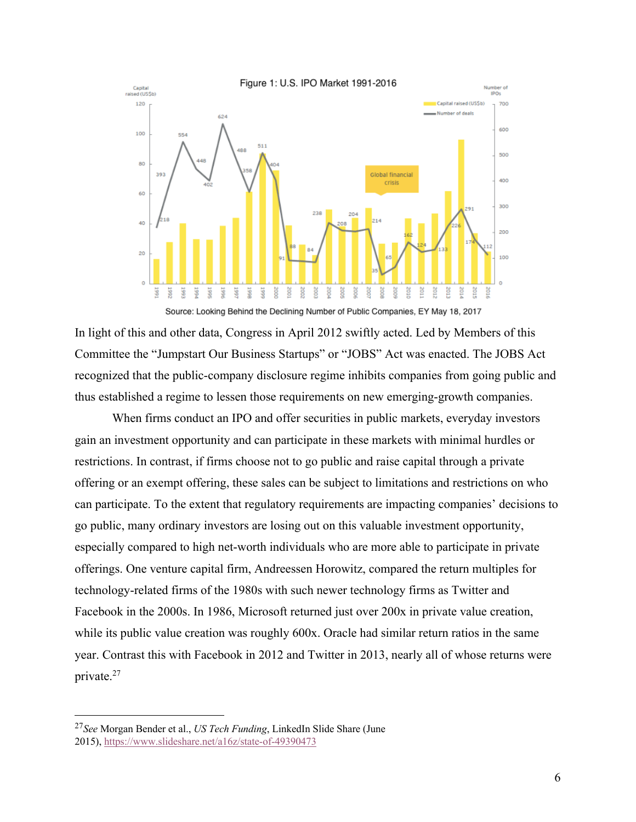

Source: Looking Behind the Declining Number of Public Companies, EY May 18, 2017

In light of this and other data, Congress in April 2012 swiftly acted. Led by Members of this Committee the "Jumpstart Our Business Startups" or "JOBS" Act was enacted. The JOBS Act recognized that the public-company disclosure regime inhibits companies from going public and thus established a regime to lessen those requirements on new emerging-growth companies.

When firms conduct an IPO and offer securities in public markets, everyday investors gain an investment opportunity and can participate in these markets with minimal hurdles or restrictions. In contrast, if firms choose not to go public and raise capital through a private offering or an exempt offering, these sales can be subject to limitations and restrictions on who can participate. To the extent that regulatory requirements are impacting companies' decisions to go public, many ordinary investors are losing out on this valuable investment opportunity, especially compared to high net-worth individuals who are more able to participate in private offerings. One venture capital firm, Andreessen Horowitz, compared the return multiples for technology-related firms of the 1980s with such newer technology firms as Twitter and Facebook in the 2000s. In 1986, Microsoft returned just over 200x in private value creation, while its public value creation was roughly 600x. Oracle had similar return ratios in the same year. Contrast this with Facebook in 2012 and Twitter in 2013, nearly all of whose returns were private.27

 <sup>27</sup>*See* Morgan Bender et al., *US Tech Funding*, LinkedIn Slide Share (June 2015), https://www.slideshare.net/a16z/state-of-49390473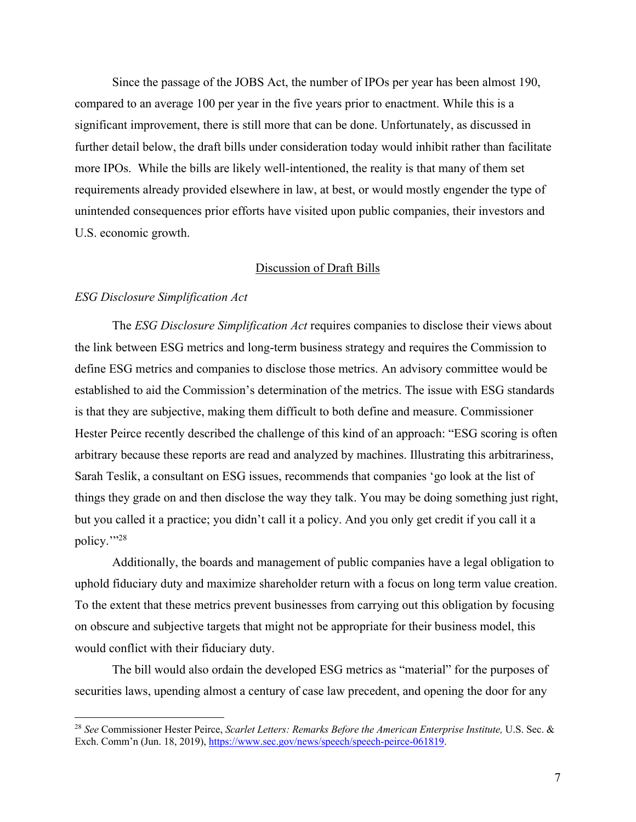Since the passage of the JOBS Act, the number of IPOs per year has been almost 190, compared to an average 100 per year in the five years prior to enactment. While this is a significant improvement, there is still more that can be done. Unfortunately, as discussed in further detail below, the draft bills under consideration today would inhibit rather than facilitate more IPOs. While the bills are likely well-intentioned, the reality is that many of them set requirements already provided elsewhere in law, at best, or would mostly engender the type of unintended consequences prior efforts have visited upon public companies, their investors and U.S. economic growth.

# Discussion of Draft Bills

### *ESG Disclosure Simplification Act*

The *ESG Disclosure Simplification Act* requires companies to disclose their views about the link between ESG metrics and long-term business strategy and requires the Commission to define ESG metrics and companies to disclose those metrics. An advisory committee would be established to aid the Commission's determination of the metrics. The issue with ESG standards is that they are subjective, making them difficult to both define and measure. Commissioner Hester Peirce recently described the challenge of this kind of an approach: "ESG scoring is often arbitrary because these reports are read and analyzed by machines. Illustrating this arbitrariness, Sarah Teslik, a consultant on ESG issues, recommends that companies 'go look at the list of things they grade on and then disclose the way they talk. You may be doing something just right, but you called it a practice; you didn't call it a policy. And you only get credit if you call it a policy.""28

Additionally, the boards and management of public companies have a legal obligation to uphold fiduciary duty and maximize shareholder return with a focus on long term value creation. To the extent that these metrics prevent businesses from carrying out this obligation by focusing on obscure and subjective targets that might not be appropriate for their business model, this would conflict with their fiduciary duty.

The bill would also ordain the developed ESG metrics as "material" for the purposes of securities laws, upending almost a century of case law precedent, and opening the door for any

 <sup>28</sup> *See* Commissioner Hester Peirce, *Scarlet Letters: Remarks Before the American Enterprise Institute,* U.S. Sec. & Exch. Comm'n (Jun. 18, 2019), https://www.sec.gov/news/speech/speech-peirce-061819.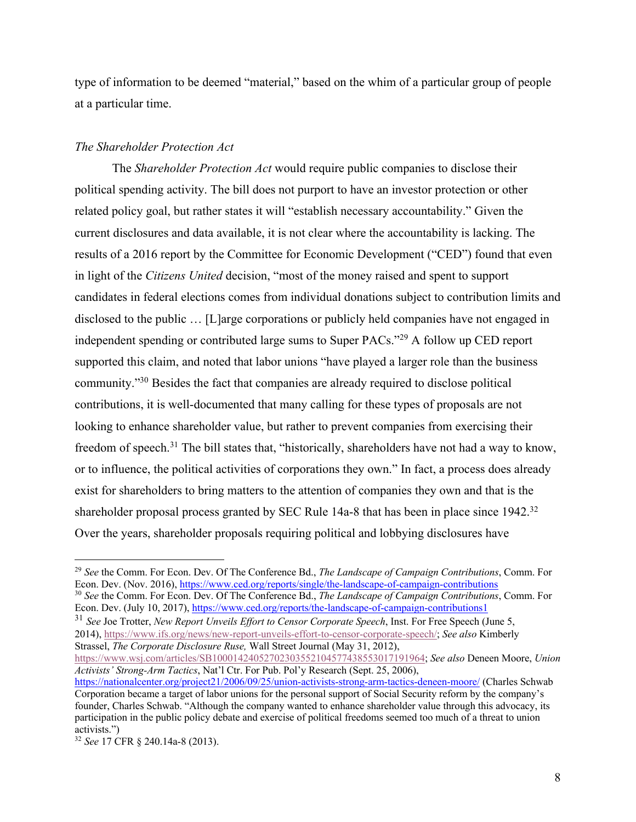type of information to be deemed "material," based on the whim of a particular group of people at a particular time.

### *The Shareholder Protection Act*

The *Shareholder Protection Act* would require public companies to disclose their political spending activity. The bill does not purport to have an investor protection or other related policy goal, but rather states it will "establish necessary accountability." Given the current disclosures and data available, it is not clear where the accountability is lacking. The results of a 2016 report by the Committee for Economic Development ("CED") found that even in light of the *Citizens United* decision, "most of the money raised and spent to support candidates in federal elections comes from individual donations subject to contribution limits and disclosed to the public … [L]arge corporations or publicly held companies have not engaged in independent spending or contributed large sums to Super PACs."29 A follow up CED report supported this claim, and noted that labor unions "have played a larger role than the business community."30 Besides the fact that companies are already required to disclose political contributions, it is well-documented that many calling for these types of proposals are not looking to enhance shareholder value, but rather to prevent companies from exercising their freedom of speech.<sup>31</sup> The bill states that, "historically, shareholders have not had a way to know, or to influence, the political activities of corporations they own." In fact, a process does already exist for shareholders to bring matters to the attention of companies they own and that is the shareholder proposal process granted by SEC Rule 14a-8 that has been in place since 1942.<sup>32</sup> Over the years, shareholder proposals requiring political and lobbying disclosures have

<sup>30</sup> *See* the Comm. For Econ. Dev. Of The Conference Bd., *The Landscape of Campaign Contributions*, Comm. For Econ. Dev. (July 10, 2017), https://www.ced.org/reports/the-landscape-of-campaign-contributions1

<sup>31</sup> *See* Joe Trotter, *New Report Unveils Effort to Censor Corporate Speech*, Inst. For Free Speech (June 5, 2014), https://www.ifs.org/news/new-report-unveils-effort-to-censor-corporate-speech/; *See also* Kimberly Strassel, *The Corporate Disclosure Ruse,* Wall Street Journal (May 31, 2012),

https://www.wsj.com/articles/SB10001424052702303552104577438553017191964; *See also* Deneen Moore, *Union Activists' Strong-Arm Tactics*, Nat'l Ctr. For Pub. Pol'y Research (Sept. 25, 2006),

 <sup>29</sup> *See* the Comm. For Econ. Dev. Of The Conference Bd., *The Landscape of Campaign Contributions*, Comm. For Econ. Dev. (Nov. 2016), https://www.ced.org/reports/single/the-landscape-of-campaign-contributions

https://nationalcenter.org/project21/2006/09/25/union-activists-strong-arm-tactics-deneen-moore/ (Charles Schwab Corporation became a target of labor unions for the personal support of Social Security reform by the company's founder, Charles Schwab. "Although the company wanted to enhance shareholder value through this advocacy, its participation in the public policy debate and exercise of political freedoms seemed too much of a threat to union activists.")

<sup>32</sup> *See* 17 CFR § 240.14a-8 (2013).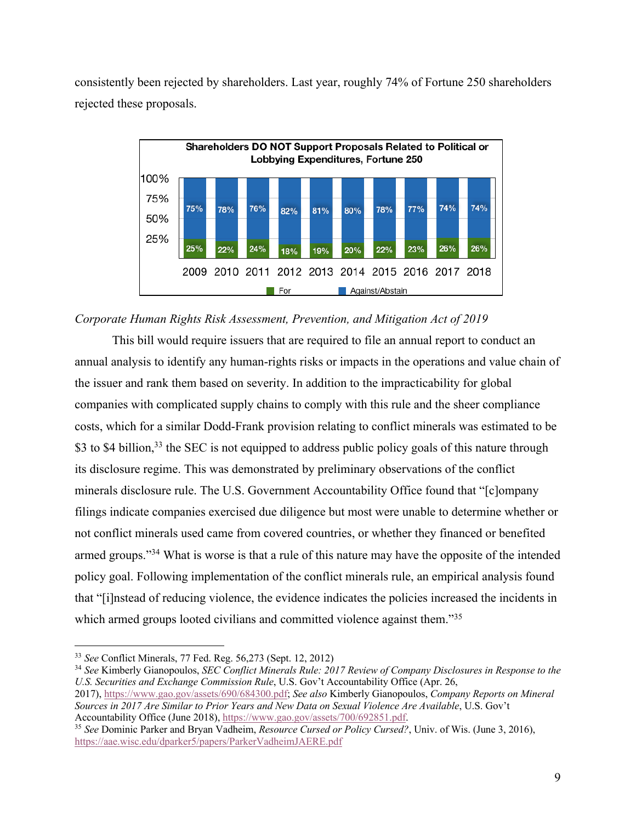consistently been rejected by shareholders. Last year, roughly 74% of Fortune 250 shareholders rejected these proposals.



# *Corporate Human Rights Risk Assessment, Prevention, and Mitigation Act of 2019*

This bill would require issuers that are required to file an annual report to conduct an annual analysis to identify any human-rights risks or impacts in the operations and value chain of the issuer and rank them based on severity. In addition to the impracticability for global companies with complicated supply chains to comply with this rule and the sheer compliance costs, which for a similar Dodd-Frank provision relating to conflict minerals was estimated to be \$3 to \$4 billion,<sup>33</sup> the SEC is not equipped to address public policy goals of this nature through its disclosure regime. This was demonstrated by preliminary observations of the conflict minerals disclosure rule. The U.S. Government Accountability Office found that "[c]ompany filings indicate companies exercised due diligence but most were unable to determine whether or not conflict minerals used came from covered countries, or whether they financed or benefited armed groups."34 What is worse is that a rule of this nature may have the opposite of the intended policy goal. Following implementation of the conflict minerals rule, an empirical analysis found that "[i]nstead of reducing violence, the evidence indicates the policies increased the incidents in which armed groups looted civilians and committed violence against them."<sup>35</sup>

 <sup>33</sup> *See* Conflict Minerals, 77 Fed. Reg. 56,273 (Sept. 12, 2012)

<sup>34</sup> *See* Kimberly Gianopoulos, *SEC Conflict Minerals Rule: 2017 Review of Company Disclosures in Response to the U.S. Securities and Exchange Commission Rule*, U.S. Gov't Accountability Office (Apr. 26,

<sup>2017),</sup> https://www.gao.gov/assets/690/684300.pdf; *See also* Kimberly Gianopoulos, *Company Reports on Mineral Sources in 2017 Are Similar to Prior Years and New Data on Sexual Violence Are Available*, U.S. Gov't Accountability Office (June 2018), https://www.gao.gov/assets/700/692851.pdf.

<sup>35</sup> *See* Dominic Parker and Bryan Vadheim, *Resource Cursed or Policy Cursed?*, Univ. of Wis. (June 3, 2016), https://aae.wisc.edu/dparker5/papers/ParkerVadheimJAERE.pdf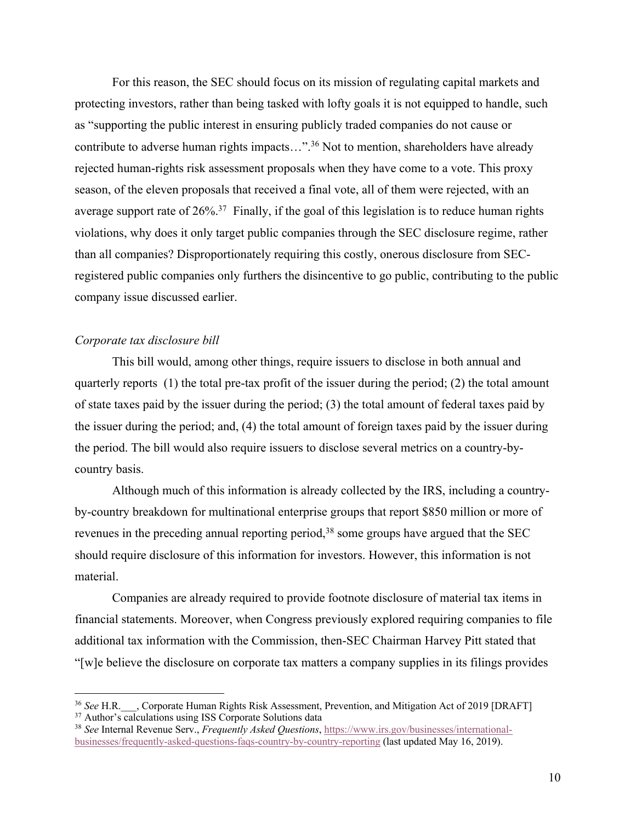For this reason, the SEC should focus on its mission of regulating capital markets and protecting investors, rather than being tasked with lofty goals it is not equipped to handle, such as "supporting the public interest in ensuring publicly traded companies do not cause or contribute to adverse human rights impacts...".<sup>36</sup> Not to mention, shareholders have already rejected human-rights risk assessment proposals when they have come to a vote. This proxy season, of the eleven proposals that received a final vote, all of them were rejected, with an average support rate of  $26\%$ <sup>37</sup> Finally, if the goal of this legislation is to reduce human rights violations, why does it only target public companies through the SEC disclosure regime, rather than all companies? Disproportionately requiring this costly, onerous disclosure from SECregistered public companies only furthers the disincentive to go public, contributing to the public company issue discussed earlier.

### *Corporate tax disclosure bill*

This bill would, among other things, require issuers to disclose in both annual and quarterly reports (1) the total pre-tax profit of the issuer during the period; (2) the total amount of state taxes paid by the issuer during the period; (3) the total amount of federal taxes paid by the issuer during the period; and, (4) the total amount of foreign taxes paid by the issuer during the period. The bill would also require issuers to disclose several metrics on a country-bycountry basis.

Although much of this information is already collected by the IRS, including a countryby-country breakdown for multinational enterprise groups that report \$850 million or more of revenues in the preceding annual reporting period,<sup>38</sup> some groups have argued that the SEC should require disclosure of this information for investors. However, this information is not material.

Companies are already required to provide footnote disclosure of material tax items in financial statements. Moreover, when Congress previously explored requiring companies to file additional tax information with the Commission, then-SEC Chairman Harvey Pitt stated that "[w]e believe the disclosure on corporate tax matters a company supplies in its filings provides

<sup>&</sup>lt;sup>36</sup> See H.R. Corporate Human Rights Risk Assessment, Prevention, and Mitigation Act of 2019 [DRAFT] <sup>37</sup> Author's calculations using ISS Corporate Solutions data

<sup>38</sup> *See* Internal Revenue Serv., *Frequently Asked Questions*, https://www.irs.gov/businesses/internationalbusinesses/frequently-asked-questions-faqs-country-by-country-reporting (last updated May 16, 2019).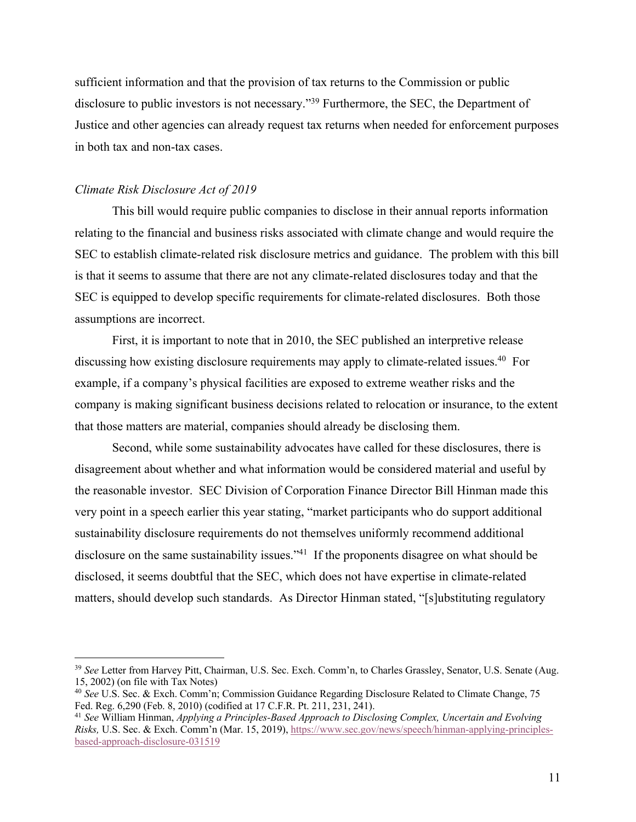sufficient information and that the provision of tax returns to the Commission or public disclosure to public investors is not necessary."<sup>39</sup> Furthermore, the SEC, the Department of Justice and other agencies can already request tax returns when needed for enforcement purposes in both tax and non-tax cases.

#### *Climate Risk Disclosure Act of 2019*

This bill would require public companies to disclose in their annual reports information relating to the financial and business risks associated with climate change and would require the SEC to establish climate-related risk disclosure metrics and guidance. The problem with this bill is that it seems to assume that there are not any climate-related disclosures today and that the SEC is equipped to develop specific requirements for climate-related disclosures. Both those assumptions are incorrect.

First, it is important to note that in 2010, the SEC published an interpretive release discussing how existing disclosure requirements may apply to climate-related issues.<sup>40</sup> For example, if a company's physical facilities are exposed to extreme weather risks and the company is making significant business decisions related to relocation or insurance, to the extent that those matters are material, companies should already be disclosing them.

Second, while some sustainability advocates have called for these disclosures, there is disagreement about whether and what information would be considered material and useful by the reasonable investor. SEC Division of Corporation Finance Director Bill Hinman made this very point in a speech earlier this year stating, "market participants who do support additional sustainability disclosure requirements do not themselves uniformly recommend additional disclosure on the same sustainability issues."<sup>41</sup> If the proponents disagree on what should be disclosed, it seems doubtful that the SEC, which does not have expertise in climate-related matters, should develop such standards. As Director Hinman stated, "[s]ubstituting regulatory

 <sup>39</sup> *See* Letter from Harvey Pitt, Chairman, U.S. Sec. Exch. Comm'n, to Charles Grassley, Senator, U.S. Senate (Aug. 15, 2002) (on file with Tax Notes)

<sup>40</sup> *See* U.S. Sec. & Exch. Comm'n; Commission Guidance Regarding Disclosure Related to Climate Change, 75 Fed. Reg. 6,290 (Feb. 8, 2010) (codified at 17 C.F.R. Pt. 211, 231, 241).

<sup>41</sup> *See* William Hinman, *Applying a Principles-Based Approach to Disclosing Complex, Uncertain and Evolving Risks,* U.S. Sec. & Exch. Comm'n (Mar. 15, 2019), https://www.sec.gov/news/speech/hinman-applying-principlesbased-approach-disclosure-031519